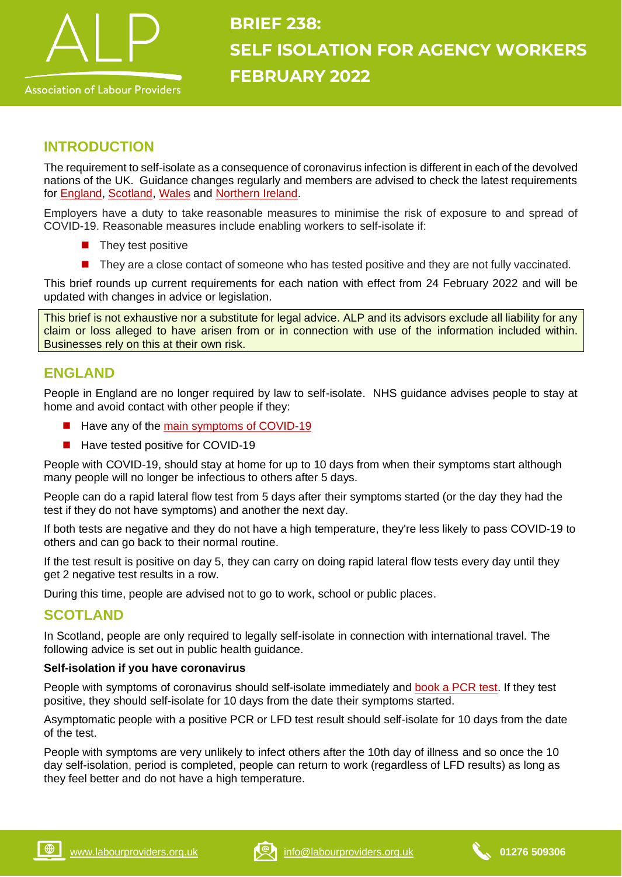

# **BRIEF 238: SELF ISOLATION FOR AGENCY WORKERS FEBRUARY 2022**

# **INTRODUCTION**

The requirement to self-isolate as a consequence of coronavirus infection is different in each of the devolved nations of the UK. Guidance changes regularly and members are advised to check the latest requirements for [England,](https://www.nhs.uk/conditions/coronavirus-covid-19/self-isolation-and-treatment/when-to-self-isolate-and-what-to-do/) [Scotland,](https://www.nhsinform.scot/isolation) [Wales](https://gov.wales/self-isolation) and [Northern Ireland.](https://www.nidirect.gov.uk/articles/coronavirus-covid-19-self-isolating-and-close-contacts)

Employers have a duty to take reasonable measures to minimise the risk of exposure to and spread of COVID-19. Reasonable measures include enabling workers to self-isolate if:

- They test positive
- They are a close contact of someone who has tested positive and they are not fully vaccinated.

This brief rounds up current requirements for each nation with effect from 24 February 2022 and will be updated with changes in advice or legislation.

This brief is not exhaustive nor a substitute for legal advice. ALP and its advisors exclude all liability for any claim or loss alleged to have arisen from or in connection with use of the information included within. Businesses rely on this at their own risk.

# **ENGLAND**

People in England are no longer required by law to self-isolate. NHS guidance advises people to stay at home and avoid contact with other people if they:

- Have any of the [main symptoms of COVID-19](https://www.nhs.uk/conditions/coronavirus-covid-19/symptoms/main-symptoms/)
- Have tested positive for COVID-19

People with COVID-19, should stay at home for up to 10 days from when their symptoms start although many people will no longer be infectious to others after 5 days.

People can do a rapid lateral flow test from 5 days after their symptoms started (or the day they had the test if they do not have symptoms) and another the next day.

If both tests are negative and they do not have a high temperature, they're less likely to pass COVID-19 to others and can go back to their normal routine.

If the test result is positive on day 5, they can carry on doing rapid lateral flow tests every day until they get 2 negative test results in a row.

During this time, people are advised not to go to work, school or public places.

## **SCOTLAND**

In Scotland, people are only required to legally self-isolate in connection with international travel. The following advice is set out in public health guidance.

#### **Self-isolation if you have coronavirus**

People with symptoms of coronavirus should self-isolate immediately and [book a PCR test.](https://www.nhsinform.scot/illnesses-and-conditions/infections-and-poisoning/coronavirus-covid-19/test-and-protect/coronavirus-covid-19-get-a-test-if-you-have-symptoms/) If they test positive, they should self-isolate for 10 days from the date their symptoms started.

Asymptomatic people with a positive PCR or LFD test result should self-isolate for 10 days from the date of the test.

People with symptoms are very unlikely to infect others after the 10th day of illness and so once the 10 day self-isolation, period is completed, people can return to work (regardless of LFD results) as long as they feel better and do not have a high temperature.

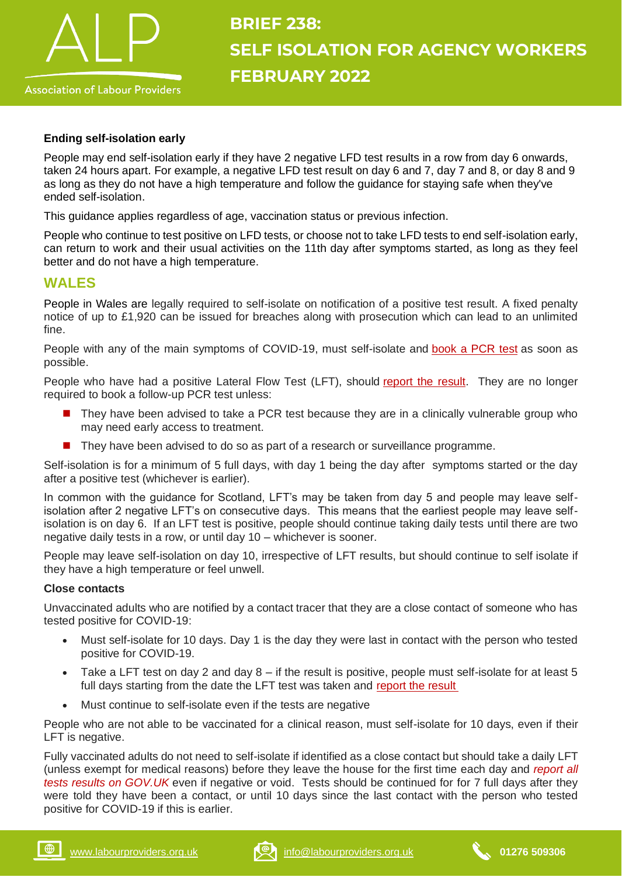

#### **Ending self-isolation early**

People may end self-isolation early if they have 2 negative LFD test results in a row from day 6 onwards, taken 24 hours apart. For example, a negative LFD test result on day 6 and 7, day 7 and 8, or day 8 and 9 as long as they do not have a high temperature and follow the guidance for staying safe when they've ended self-isolation.

This guidance applies regardless of age, vaccination status or previous infection.

People who continue to test positive on LFD tests, or choose not to take LFD tests to end self-isolation early, can return to work and their usual activities on the 11th day after symptoms started, as long as they feel better and do not have a high temperature.

### **WALES**

People in Wales are legally required to self-isolate on notification of a positive test result. A fixed penalty notice of up to £1,920 can be issued for breaches along with prosecution which can lead to an unlimited fine.

People with any of the main symptoms of COVID-19, must self-isolate and [book a PCR test](https://gov.wales/get-tested-coronavirus-covid-19) as soon as possible.

People who have had a positive Lateral Flow Test (LFT), should [report the result.](https://www.gov.uk/report-covid19-result) They are no longer required to book a follow-up PCR test unless:

- They have been advised to take a PCR test because they are in a clinically vulnerable group who may need early access to treatment.
- They have been advised to do so as part of a research or surveillance programme.

Self-isolation is for a minimum of 5 full days, with day 1 being the day after symptoms started or the day after a positive test (whichever is earlier).

In common with the guidance for Scotland, LFT's may be taken from day 5 and people may leave selfisolation after 2 negative LFT's on consecutive days. This means that the earliest people may leave selfisolation is on day 6. If an LFT test is positive, people should continue taking daily tests until there are two negative daily tests in a row, or until day 10 – whichever is sooner.

People may leave self-isolation on day 10, irrespective of LFT results, but should continue to self isolate if they have a high temperature or feel unwell.

#### **Close contacts**

Unvaccinated adults who are notified by a contact tracer that they are a close contact of someone who has tested positive for COVID-19:

- Must self-isolate for 10 days. Day 1 is the day they were last in contact with the person who tested positive for COVID-19.
- Take a LFT test on day 2 and day 8 if the result is positive, people must self-isolate for at least 5 full days starting from the date the LFT test was taken and [report the result](https://www.gov.uk/report-covid19-result)
- Must continue to self-isolate even if the tests are negative

People who are not able to be vaccinated for a clinical reason, must self-isolate for 10 days, even if their LFT is negative.

Fully vaccinated adults do not need to self-isolate if identified as a close contact but should take a daily LFT (unless exempt for medical reasons) before they leave the house for the first time each day and *[report all](https://www.gov.uk/report-covid19-result)  [tests results on GOV.UK](https://www.gov.uk/report-covid19-result)* even if negative or void. Tests should be continued for for 7 full days after they were told they have been a contact, or until 10 days since the last contact with the person who tested positive for COVID-19 if this is earlier.